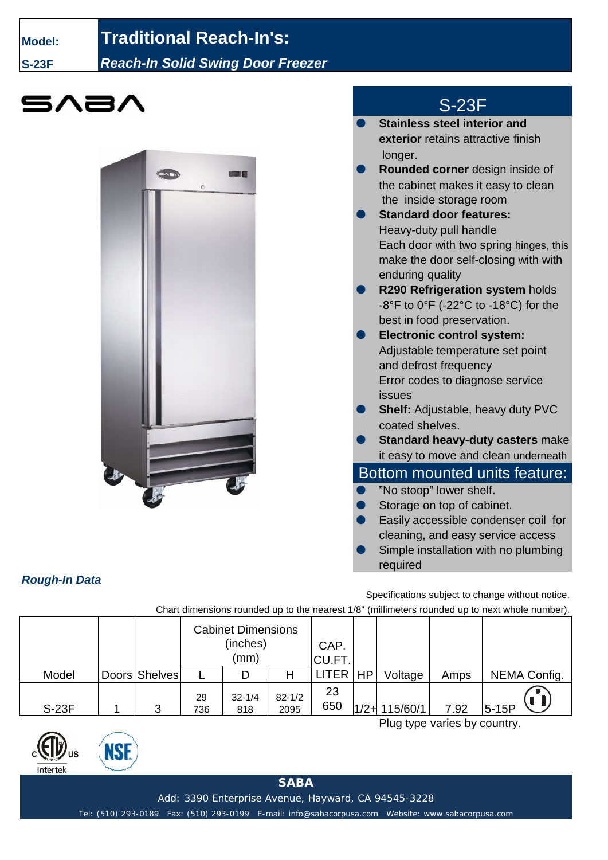## **Model: Traditional Reach-In's:**

**S-23F** *Reach-In Solid Swing Door Freezer*





## S-23F

- **Stainless steel interior and exterior** retains attractive finish longer. **Rounded corner** design inside of the cabinet makes it easy to clean the inside storage room
- **Standard door features:** Heavy-duty pull handle Each door with two spring hinges, this make the door self-closing with with enduring quality **R290 Refrigeration system holds** -8°F to 0°F (-22°C to -18°C) for the best in food preservation. **Electronic control system:** Adjustable temperature set point and defrost frequency Error codes to diagnose service issues
- **Shelf:** Adjustable, heavy duty PVC coated shelves.
- **Standard heavy-duty casters make** it easy to move and clean underneath

## Bottom mounted units feature:

- "No stoop" lower shelf.
- Storage on top of cabinet.
- Easily accessible condenser coil for cleaning, and easy service access
- Simple installation with no plumbing required

Specifications subject to change without notice.

Chart dimensions rounded up to the nearest 1/8" (millimeters rounded up to next whole number).

|              |               | <b>Cabinet Dimensions</b><br>(inches)<br>(mm) |                   |                    | CAP.<br>CU.FT. |                  |      |              |
|--------------|---------------|-----------------------------------------------|-------------------|--------------------|----------------|------------------|------|--------------|
| Model        | Doors Shelves |                                               |                   | Н                  | LITER   HP     | Voltage          | Amps | NEMA Config. |
| <b>S-23F</b> | າ             | 29<br>736                                     | $32 - 1/4$<br>818 | $82 - 1/2$<br>2095 | 23<br>650      | $1/2 + 115/60/1$ | 7.92 | $5-15P$      |

Plug type varies by country.

*Rough-In Data*

Intertek

NSI

**SABA**

Add: 3390 Enterprise Avenue, Hayward, CA 94545-3228

Tel: (510) 293-0189 Fax: (510) 293-0199 E-mail: info@sabacorpusa.com Website: www.sabacorpusa.com